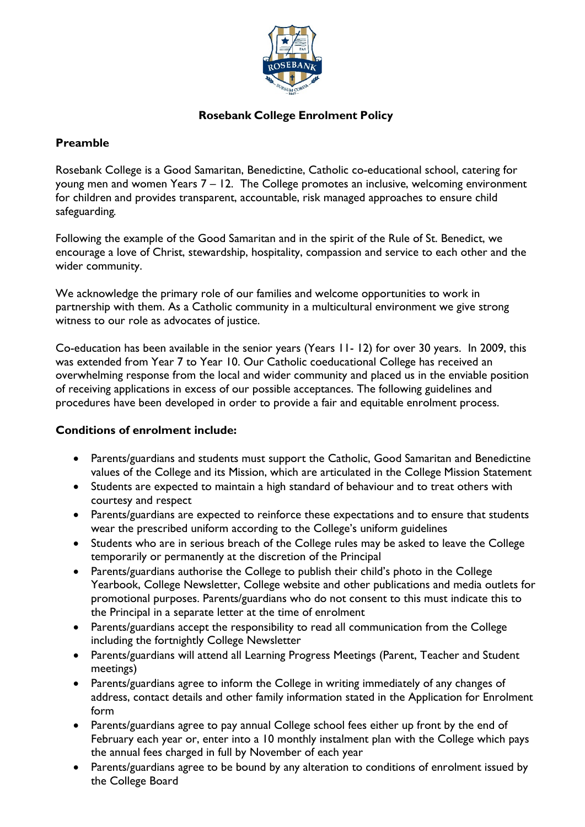

# **Rosebank College Enrolment Policy**

## **Preamble**

Rosebank College is a Good Samaritan, Benedictine, Catholic co-educational school, catering for young men and women Years 7 – 12. The College promotes an inclusive, welcoming environment for children and provides transparent, accountable, risk managed approaches to ensure child safeguarding*.*

Following the example of the Good Samaritan and in the spirit of the Rule of St. Benedict, we encourage a love of Christ, stewardship, hospitality, compassion and service to each other and the wider community.

We acknowledge the primary role of our families and welcome opportunities to work in partnership with them. As a Catholic community in a multicultural environment we give strong witness to our role as advocates of justice.

Co-education has been available in the senior years (Years 11- 12) for over 30 years. In 2009, this was extended from Year 7 to Year 10. Our Catholic coeducational College has received an overwhelming response from the local and wider community and placed us in the enviable position of receiving applications in excess of our possible acceptances. The following guidelines and procedures have been developed in order to provide a fair and equitable enrolment process.

# **Conditions of enrolment include:**

- Parents/guardians and students must support the Catholic, Good Samaritan and Benedictine values of the College and its Mission, which are articulated in the College Mission Statement
- Students are expected to maintain a high standard of behaviour and to treat others with courtesy and respect
- Parents/guardians are expected to reinforce these expectations and to ensure that students wear the prescribed uniform according to the College's uniform guidelines
- Students who are in serious breach of the College rules may be asked to leave the College temporarily or permanently at the discretion of the Principal
- Parents/guardians authorise the College to publish their child's photo in the College Yearbook, College Newsletter, College website and other publications and media outlets for promotional purposes. Parents/guardians who do not consent to this must indicate this to the Principal in a separate letter at the time of enrolment
- Parents/guardians accept the responsibility to read all communication from the College including the fortnightly College Newsletter
- Parents/guardians will attend all Learning Progress Meetings (Parent, Teacher and Student meetings)
- Parents/guardians agree to inform the College in writing immediately of any changes of address, contact details and other family information stated in the Application for Enrolment form
- Parents/guardians agree to pay annual College school fees either up front by the end of February each year or, enter into a 10 monthly instalment plan with the College which pays the annual fees charged in full by November of each year
- Parents/guardians agree to be bound by any alteration to conditions of enrolment issued by the College Board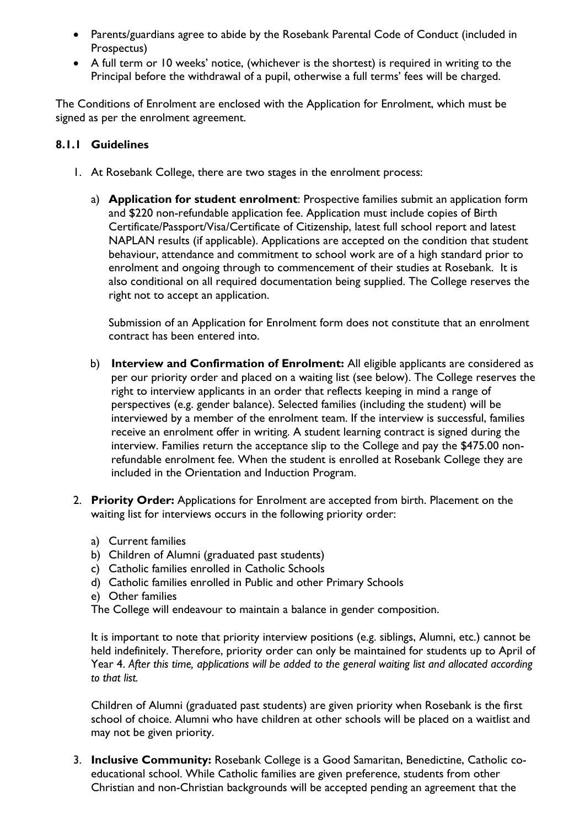- Parents/guardians agree to abide by the Rosebank Parental Code of Conduct (included in Prospectus)
- A full term or 10 weeks' notice, (whichever is the shortest) is required in writing to the Principal before the withdrawal of a pupil, otherwise a full terms' fees will be charged.

The Conditions of Enrolment are enclosed with the Application for Enrolment, which must be signed as per the enrolment agreement.

#### **8.1.1 Guidelines**

- 1. At Rosebank College, there are two stages in the enrolment process:
	- a) **Application for student enrolment**: Prospective families submit an application form and \$220 non-refundable application fee. Application must include copies of Birth Certificate/Passport/Visa/Certificate of Citizenship, latest full school report and latest NAPLAN results (if applicable). Applications are accepted on the condition that student behaviour, attendance and commitment to school work are of a high standard prior to enrolment and ongoing through to commencement of their studies at Rosebank. It is also conditional on all required documentation being supplied. The College reserves the right not to accept an application.

Submission of an Application for Enrolment form does not constitute that an enrolment contract has been entered into.

- b) **Interview and Confirmation of Enrolment:** All eligible applicants are considered as per our priority order and placed on a waiting list (see below). The College reserves the right to interview applicants in an order that reflects keeping in mind a range of perspectives (e.g. gender balance). Selected families (including the student) will be interviewed by a member of the enrolment team. If the interview is successful, families receive an enrolment offer in writing. A student learning contract is signed during the interview. Families return the acceptance slip to the College and pay the \$475.00 nonrefundable enrolment fee. When the student is enrolled at Rosebank College they are included in the Orientation and Induction Program.
- 2. **Priority Order:** Applications for Enrolment are accepted from birth. Placement on the waiting list for interviews occurs in the following priority order:
	- a) Current families
	- b) Children of Alumni (graduated past students)
	- c) Catholic families enrolled in Catholic Schools
	- d) Catholic families enrolled in Public and other Primary Schools
	- e) Other families

The College will endeavour to maintain a balance in gender composition.

It is important to note that priority interview positions (e.g. siblings, Alumni, etc.) cannot be held indefinitely. Therefore, priority order can only be maintained for students up to April of Year 4. *After this time, applications will be added to the general waiting list and allocated according to that list.*

Children of Alumni (graduated past students) are given priority when Rosebank is the first school of choice. Alumni who have children at other schools will be placed on a waitlist and may not be given priority.

3. **Inclusive Community:** Rosebank College is a Good Samaritan, Benedictine, Catholic coeducational school. While Catholic families are given preference, students from other Christian and non-Christian backgrounds will be accepted pending an agreement that the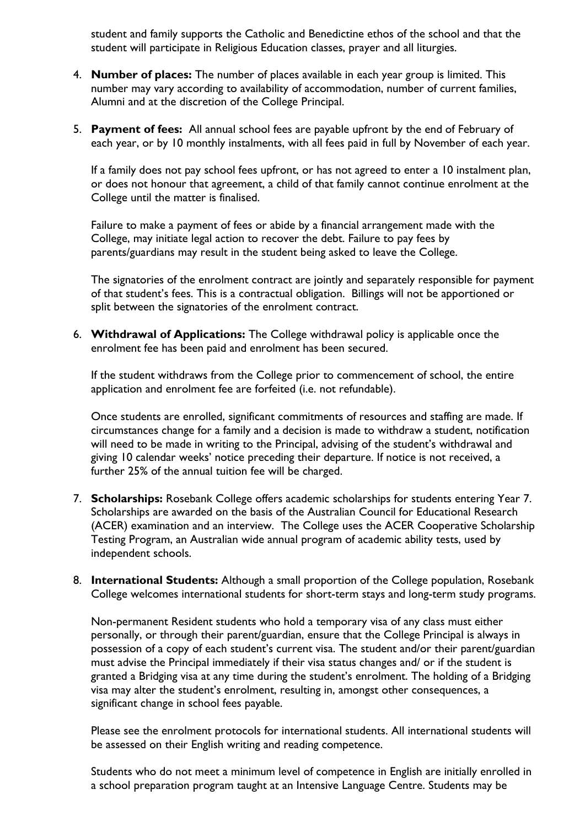student and family supports the Catholic and Benedictine ethos of the school and that the student will participate in Religious Education classes, prayer and all liturgies.

- 4. **Number of places:** The number of places available in each year group is limited. This number may vary according to availability of accommodation, number of current families, Alumni and at the discretion of the College Principal.
- 5. **Payment of fees:** All annual school fees are payable upfront by the end of February of each year, or by 10 monthly instalments, with all fees paid in full by November of each year.

If a family does not pay school fees upfront, or has not agreed to enter a 10 instalment plan, or does not honour that agreement, a child of that family cannot continue enrolment at the College until the matter is finalised.

Failure to make a payment of fees or abide by a financial arrangement made with the College, may initiate legal action to recover the debt. Failure to pay fees by parents/guardians may result in the student being asked to leave the College.

The signatories of the enrolment contract are jointly and separately responsible for payment of that student's fees. This is a contractual obligation. Billings will not be apportioned or split between the signatories of the enrolment contract.

6. **Withdrawal of Applications:** The College withdrawal policy is applicable once the enrolment fee has been paid and enrolment has been secured.

If the student withdraws from the College prior to commencement of school, the entire application and enrolment fee are forfeited (i.e. not refundable).

Once students are enrolled, significant commitments of resources and staffing are made. If circumstances change for a family and a decision is made to withdraw a student, notification will need to be made in writing to the Principal, advising of the student's withdrawal and giving 10 calendar weeks' notice preceding their departure. If notice is not received, a further 25% of the annual tuition fee will be charged.

- 7. **Scholarships:** Rosebank College offers academic scholarships for students entering Year 7. Scholarships are awarded on the basis of the Australian Council for Educational Research (ACER) examination and an interview. The College uses the ACER Cooperative Scholarship Testing Program, an Australian wide annual program of academic ability tests, used by independent schools.
- 8. **International Students:** Although a small proportion of the College population, Rosebank College welcomes international students for short-term stays and long-term study programs.

Non-permanent Resident students who hold a temporary visa of any class must either personally, or through their parent/guardian, ensure that the College Principal is always in possession of a copy of each student's current visa. The student and/or their parent/guardian must advise the Principal immediately if their visa status changes and/ or if the student is granted a Bridging visa at any time during the student's enrolment. The holding of a Bridging visa may alter the student's enrolment, resulting in, amongst other consequences, a significant change in school fees payable.

Please see the enrolment protocols for international students. All international students will be assessed on their English writing and reading competence.

Students who do not meet a minimum level of competence in English are initially enrolled in a school preparation program taught at an Intensive Language Centre. Students may be